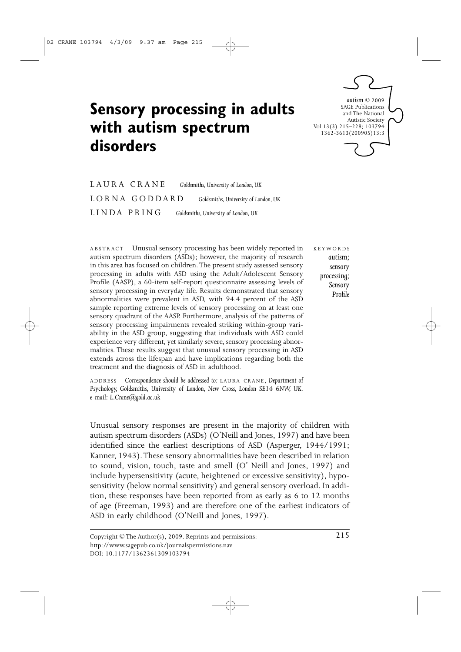# **Sensory processing in adults with autism spectrum disorders**



LAURA CRANE *Goldsmiths, University of London, UK* LORNA GODDARD *Goldsmiths, University of London, UK* LINDA PRING *Goldsmiths, University of London, UK*

ABSTRACT Unusual sensory processing has been widely reported in autism spectrum disorders (ASDs); however, the majority of research in this area has focused on children. The present study assessed sensory processing in adults with ASD using the Adult/Adolescent Sensory Profile (AASP), a 60-item self-report questionnaire assessing levels of sensory processing in everyday life. Results demonstrated that sensory abnormalities were prevalent in ASD, with 94.4 percent of the ASD sample reporting extreme levels of sensory processing on at least one sensory quadrant of the AASP. Furthermore, analysis of the patterns of sensory processing impairments revealed striking within-group variability in the ASD group, suggesting that individuals with ASD could experience very different, yet similarly severe, sensory processing abnormalities. These results suggest that unusual sensory processing in ASD extends across the lifespan and have implications regarding both the treatment and the diagnosis of ASD in adulthood.

ADDRESS *Correspondence should be addressed to:* LAURA CRANE , *Department of Psychology, Goldsmiths, University of London, New Cross, London SE14 6NW, UK. e-mail: L.Crane@gold.ac.uk*

Unusual sensory responses are present in the majority of children with autism spectrum disorders (ASDs) (O'Neill and Jones, 1997) and have been identified since the earliest descriptions of ASD (Asperger, 1944/1991; Kanner, 1943). These sensory abnormalities have been described in relation to sound, vision, touch, taste and smell (O' Neill and Jones, 1997) and include hypersensitivity (acute, heightened or excessive sensitivity), hyposensitivity (below normal sensitivity) and general sensory overload. In addition, these responses have been reported from as early as 6 to 12 months of age (Freeman, 1993) and are therefore one of the earliest indicators of ASD in early childhood (O'Neill and Jones, 1997).

Copyright © The Author(s), 2009. Reprints and permissions: http://www.sagepub.co.uk/journalspermissions.nav DOI: 10.1177/1362361309103794

KEYWORDS *autism; sensory processing; Sensory Profile*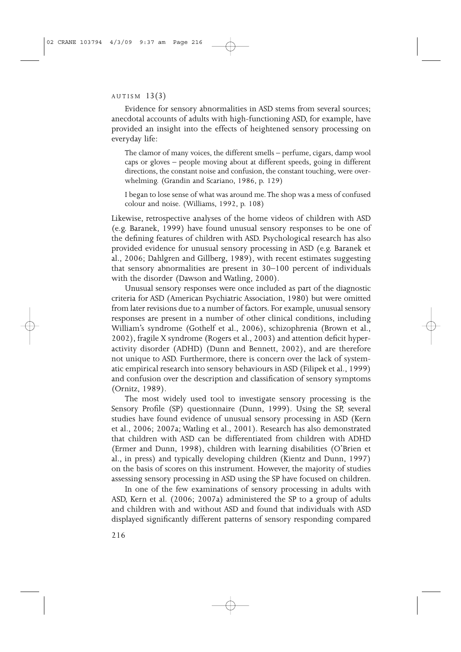Evidence for sensory abnormalities in ASD stems from several sources; anecdotal accounts of adults with high-functioning ASD, for example, have provided an insight into the effects of heightened sensory processing on everyday life:

The clamor of many voices, the different smells – perfume, cigars, damp wool caps or gloves – people moving about at different speeds, going in different directions, the constant noise and confusion, the constant touching, were overwhelming. (Grandin and Scariano, 1986, p. 129)

I began to lose sense of what was around me. The shop was a mess of confused colour and noise. (Williams, 1992, p. 108)

Likewise, retrospective analyses of the home videos of children with ASD (e.g. Baranek, 1999) have found unusual sensory responses to be one of the defining features of children with ASD. Psychological research has also provided evidence for unusual sensory processing in ASD (e.g. Baranek et al., 2006; Dahlgren and Gillberg, 1989), with recent estimates suggesting that sensory abnormalities are present in 30–100 percent of individuals with the disorder (Dawson and Watling, 2000).

Unusual sensory responses were once included as part of the diagnostic criteria for ASD (American Psychiatric Association, 1980) but were omitted from later revisions due to a number of factors. For example, unusual sensory responses are present in a number of other clinical conditions, including William's syndrome (Gothelf et al., 2006), schizophrenia (Brown et al., 2002), fragile X syndrome (Rogers et al., 2003) and attention deficit hyperactivity disorder (ADHD) (Dunn and Bennett, 2002), and are therefore not unique to ASD. Furthermore, there is concern over the lack of systematic empirical research into sensory behaviours in ASD (Filipek et al., 1999) and confusion over the description and classification of sensory symptoms (Ornitz, 1989).

The most widely used tool to investigate sensory processing is the Sensory Profile (SP) questionnaire (Dunn, 1999). Using the SP, several studies have found evidence of unusual sensory processing in ASD (Kern et al., 2006; 2007a; Watling et al., 2001). Research has also demonstrated that children with ASD can be differentiated from children with ADHD (Ermer and Dunn, 1998), children with learning disabilities (O'Brien et al., in press) and typically developing children (Kientz and Dunn, 1997) on the basis of scores on this instrument. However, the majority of studies assessing sensory processing in ASD using the SP have focused on children.

In one of the few examinations of sensory processing in adults with ASD, Kern et al. (2006; 2007a) administered the SP to a group of adults and children with and without ASD and found that individuals with ASD displayed significantly different patterns of sensory responding compared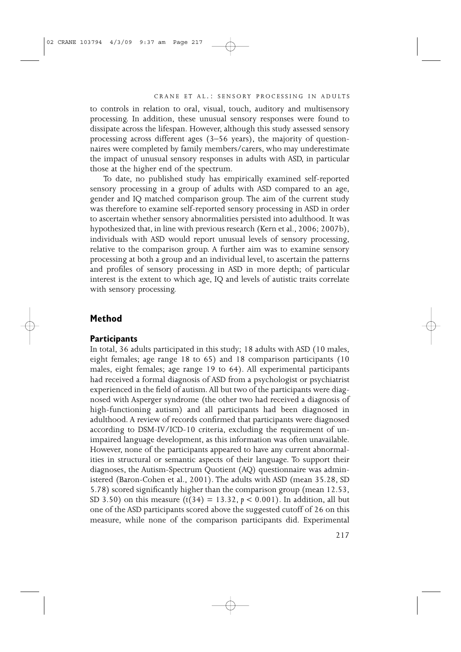to controls in relation to oral, visual, touch, auditory and multisensory processing. In addition, these unusual sensory responses were found to dissipate across the lifespan. However, although this study assessed sensory processing across different ages (3–56 years), the majority of questionnaires were completed by family members/carers, who may underestimate the impact of unusual sensory responses in adults with ASD, in particular those at the higher end of the spectrum.

To date, no published study has empirically examined self-reported sensory processing in a group of adults with ASD compared to an age, gender and IQ matched comparison group. The aim of the current study was therefore to examine self-reported sensory processing in ASD in order to ascertain whether sensory abnormalities persisted into adulthood. It was hypothesized that, in line with previous research (Kern et al., 2006; 2007b), individuals with ASD would report unusual levels of sensory processing, relative to the comparison group. A further aim was to examine sensory processing at both a group and an individual level, to ascertain the patterns and profiles of sensory processing in ASD in more depth; of particular interest is the extent to which age, IQ and levels of autistic traits correlate with sensory processing.

## **Method**

#### **Participants**

In total, 36 adults participated in this study; 18 adults with ASD (10 males, eight females; age range 18 to 65) and 18 comparison participants (10 males, eight females; age range 19 to 64). All experimental participants had received a formal diagnosis of ASD from a psychologist or psychiatrist experienced in the field of autism. All but two of the participants were diagnosed with Asperger syndrome (the other two had received a diagnosis of high-functioning autism) and all participants had been diagnosed in adulthood. A review of records confirmed that participants were diagnosed according to DSM-IV/ICD-10 criteria, excluding the requirement of unimpaired language development, as this information was often unavailable. However, none of the participants appeared to have any current abnormalities in structural or semantic aspects of their language. To support their diagnoses, the Autism-Spectrum Quotient (AQ) questionnaire was administered (Baron-Cohen et al., 2001). The adults with ASD (mean 35.28, SD 5.78) scored significantly higher than the comparison group (mean 12.53, SD 3.50) on this measure  $(t(34) = 13.32, p < 0.001)$ . In addition, all but one of the ASD participants scored above the suggested cutoff of 26 on this measure, while none of the comparison participants did. Experimental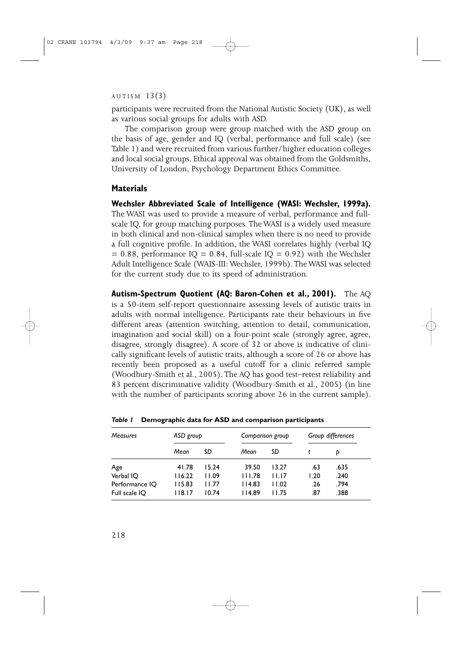participants were recruited from the National Autistic Society (UK), as well as various social groups for adults with ASD.

The comparison group were group matched with the ASD group on the basis of age, gender and IQ (verbal, performance and full scale) (see Table 1) and were recruited from various further/higher education colleges and local social groups. Ethical approval was obtained from the Goldsmiths, University of London, Psychology Department Ethics Committee.

#### **Materials**

**Wechsler Abbreviated Scale of Intelligence (WASI: Wechsler, 1999a).** The WASI was used to provide a measure of verbal, performance and fullscale IQ, for group matching purposes. The WASI is a widely used measure in both clinical and non-clinical samples when there is no need to provide a full cognitive profile. In addition, the WASI correlates highly (verbal IQ  $= 0.88$ , performance IQ  $= 0.84$ , full-scale IQ  $= 0.92$ ) with the Wechsler Adult Intelligence Scale (WAIS-III: Wechsler, 1999b). The WASI was selected for the current study due to its speed of administration.

**Autism-Spectrum Quotient (AQ: Baron-Cohen et al., 2001).** The AQ is a 50-item self-report questionnaire assessing levels of autistic traits in adults with normal intelligence. Participants rate their behaviours in five different areas (attention switching, attention to detail, communication, imagination and social skill) on a four-point scale (strongly agree, agree, disagree, strongly disagree). A score of 32 or above is indicative of clinically significant levels of autistic traits, although a score of 26 or above has recently been proposed as a useful cutoff for a clinic referred sample (Woodbury-Smith et al., 2005). The AQ has good test–retest reliability and 83 percent discriminative validity (Woodbury-Smith et al., 2005) (in line with the number of participants scoring above 26 in the current sample).

| <b>Measures</b> | ASD group |       | Comparison group |        | Group differences |      |  |
|-----------------|-----------|-------|------------------|--------|-------------------|------|--|
|                 | Mean      | SD    | Mean             | SD     |                   | D    |  |
| Age             | 41.78     | 15.24 | 39.50            | 13.27  | .63               | .635 |  |
| Verbal IO       | 116.22    | 11.09 | 111.78           | 11.17  | 1.20              | .240 |  |
| Performance IQ  | 115.83    | 11.77 | 114.83           | 11.02  | .26               | .794 |  |
| Full scale IQ   | 118.17    | 10.74 | 114.89           | I I 75 | .87               | .388 |  |

*Table 1* **Demographic data for ASD and comparison participants**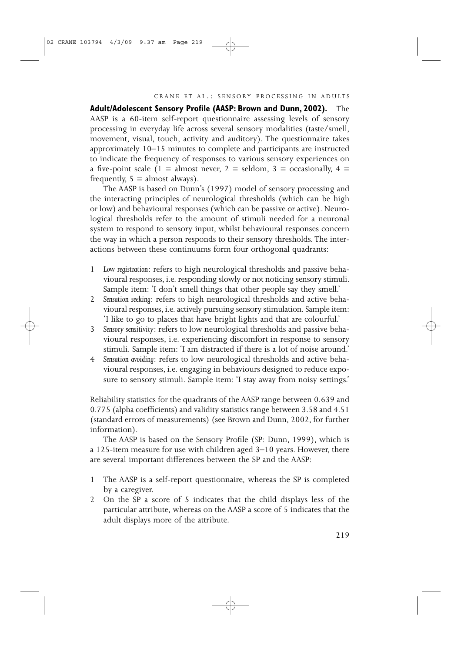**Adult/Adolescent Sensory Profile (AASP: Brown and Dunn, 2002).** The AASP is a 60-item self-report questionnaire assessing levels of sensory processing in everyday life across several sensory modalities (taste/smell, movement, visual, touch, activity and auditory). The questionnaire takes approximately 10–15 minutes to complete and participants are instructed to indicate the frequency of responses to various sensory experiences on a five-point scale (1 = almost never, 2 = seldom, 3 = occasionally, 4 = frequently,  $5 =$  almost always).

The AASP is based on Dunn's (1997) model of sensory processing and the interacting principles of neurological thresholds (which can be high or low) and behavioural responses (which can be passive or active). Neurological thresholds refer to the amount of stimuli needed for a neuronal system to respond to sensory input, whilst behavioural responses concern the way in which a person responds to their sensory thresholds. The interactions between these continuums form four orthogonal quadrants:

- 1 *Low registration*: refers to high neurological thresholds and passive behavioural responses, i.e. responding slowly or not noticing sensory stimuli. Sample item: 'I don't smell things that other people say they smell.'
- 2 *Sensation seeking*: refers to high neurological thresholds and active behavioural responses, i.e. actively pursuing sensory stimulation. Sample item: 'I like to go to places that have bright lights and that are colourful.'
- 3 *Sensory sensitivity*: refers to low neurological thresholds and passive behavioural responses, i.e. experiencing discomfort in response to sensory stimuli. Sample item: 'I am distracted if there is a lot of noise around.'
- 4 *Sensation avoiding*: refers to low neurological thresholds and active behavioural responses, i.e. engaging in behaviours designed to reduce exposure to sensory stimuli. Sample item: 'I stay away from noisy settings.'

Reliability statistics for the quadrants of the AASP range between 0.639 and 0.775 (alpha coefficients) and validity statistics range between 3.58 and 4.51 (standard errors of measurements) (see Brown and Dunn, 2002, for further information).

The AASP is based on the Sensory Profile (SP: Dunn, 1999), which is a 125-item measure for use with children aged 3–10 years. However, there are several important differences between the SP and the AASP:

- 1 The AASP is a self-report questionnaire, whereas the SP is completed by a caregiver.
- 2 On the SP a score of 5 indicates that the child displays less of the particular attribute, whereas on the AASP a score of 5 indicates that the adult displays more of the attribute.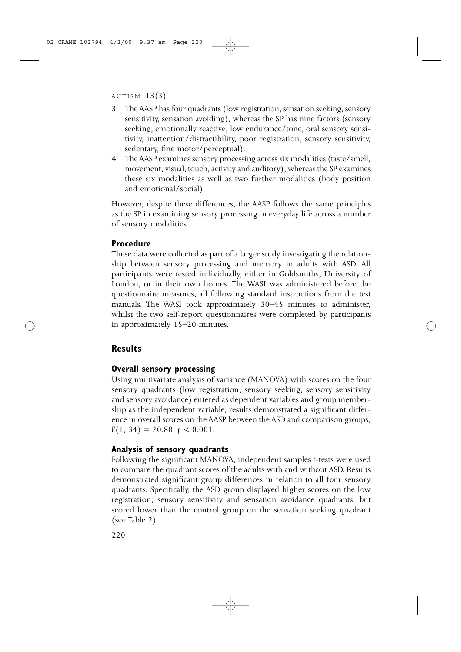- 3 The AASP has four quadrants (low registration, sensation seeking, sensory sensitivity, sensation avoiding), whereas the SP has nine factors (sensory seeking, emotionally reactive, low endurance/tone, oral sensory sensitivity, inattention/distractibility, poor registration, sensory sensitivity, sedentary, fine motor/perceptual).
- 4 The AASP examines sensory processing across six modalities (taste/smell, movement, visual, touch, activity and auditory), whereas the SP examines these six modalities as well as two further modalities (body position and emotional/social).

However, despite these differences, the AASP follows the same principles as the SP in examining sensory processing in everyday life across a number of sensory modalities.

## **Procedure**

These data were collected as part of a larger study investigating the relationship between sensory processing and memory in adults with ASD. All participants were tested individually, either in Goldsmiths, University of London, or in their own homes. The WASI was administered before the questionnaire measures, all following standard instructions from the test manuals. The WASI took approximately 30–45 minutes to administer, whilst the two self-report questionnaires were completed by participants in approximately 15–20 minutes.

## **Results**

#### **Overall sensory processing**

Using multivariate analysis of variance (MANOVA) with scores on the four sensory quadrants (low registration, sensory seeking, sensory sensitivity and sensory avoidance) entered as dependent variables and group membership as the independent variable, results demonstrated a significant difference in overall scores on the AASP between the ASD and comparison groups,  $F(1, 34) = 20.80, p < 0.001$ .

#### **Analysis of sensory quadrants**

Following the significant MANOVA, independent samples *t*-tests were used to compare the quadrant scores of the adults with and without ASD. Results demonstrated significant group differences in relation to all four sensory quadrants. Specifically, the ASD group displayed higher scores on the low registration, sensory sensitivity and sensation avoidance quadrants, but scored lower than the control group on the sensation seeking quadrant (see Table 2).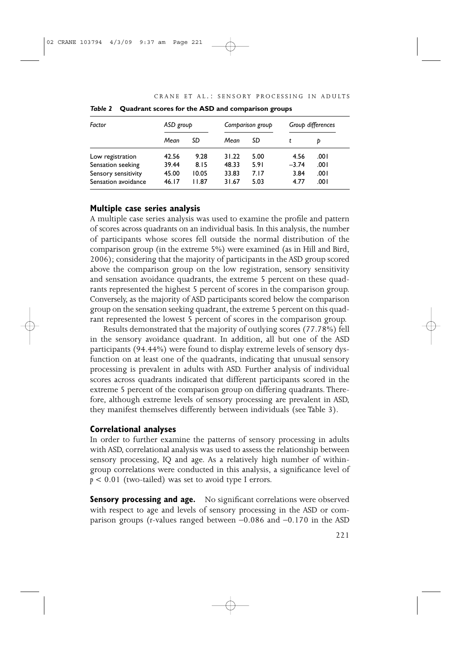| Factor              | ASD group |        | Comparison group |      | Group differences |      |
|---------------------|-----------|--------|------------------|------|-------------------|------|
|                     | Mean      | SD     | Mean             | SD   |                   | D    |
| Low registration    | 42.56     | 9.28   | 31.22            | 5.00 | 4.56              | .001 |
| Sensation seeking   | 39.44     | 8.15   | 48.33            | 5.91 | $-3.74$           | .001 |
| Sensory sensitivity | 45.00     | 10.05  | 33.83            | 7.17 | 3.84              | 00۱. |
| Sensation avoidance | 46.17     | I I 87 | 31.67            | 5.03 | 4.77              | .001 |

CRANE ET AL.: SENSORY PROCESSING IN ADULTS

|  | Table 2 Quadrant scores for the ASD and comparison groups |
|--|-----------------------------------------------------------|
|--|-----------------------------------------------------------|

#### **Multiple case series analysis**

A multiple case series analysis was used to examine the profile and pattern of scores across quadrants on an individual basis. In this analysis, the number of participants whose scores fell outside the normal distribution of the comparison group (in the extreme 5%) were examined (as in Hill and Bird, 2006); considering that the majority of participants in the ASD group scored above the comparison group on the low registration, sensory sensitivity and sensation avoidance quadrants, the extreme 5 percent on these quadrants represented the highest 5 percent of scores in the comparison group. Conversely, as the majority of ASD participants scored below the comparison group on the sensation seeking quadrant, the extreme 5 percent on this quadrant represented the lowest 5 percent of scores in the comparison group.

Results demonstrated that the majority of outlying scores (77.78%) fell in the sensory avoidance quadrant. In addition, all but one of the ASD participants (94.44%) were found to display extreme levels of sensory dysfunction on at least one of the quadrants, indicating that unusual sensory processing is prevalent in adults with ASD. Further analysis of individual scores across quadrants indicated that different participants scored in the extreme 5 percent of the comparison group on differing quadrants. Therefore, although extreme levels of sensory processing are prevalent in ASD, they manifest themselves differently between individuals (see Table 3).

#### **Correlational analyses**

In order to further examine the patterns of sensory processing in adults with ASD, correlational analysis was used to assess the relationship between sensory processing, IQ and age. As a relatively high number of withingroup correlations were conducted in this analysis, a significance level of *p* < 0.01 (two-tailed) was set to avoid type I errors.

**Sensory processing and age.** No significant correlations were observed with respect to age and levels of sensory processing in the ASD or comparison groups (*r-*values ranged between –0.086 and –0.170 in the ASD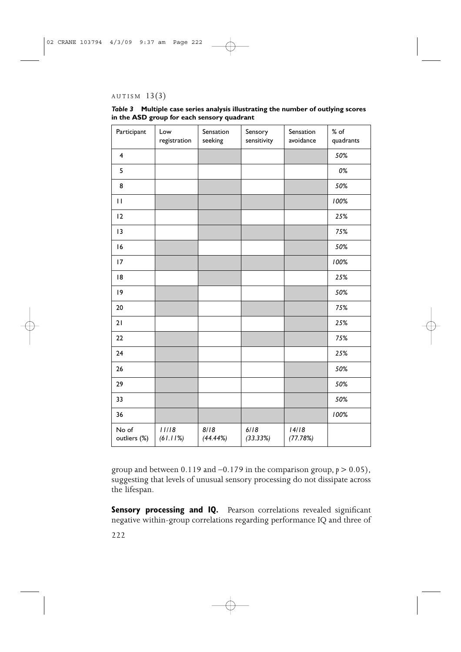*Table 3* **Multiple case series analysis illustrating the number of outlying scores in the ASD group for each sensory quadrant**

| Participant             | Low<br>registration | Sensation<br>seeking | Sensory<br>sensitivity | Sensation<br>avoidance | % of<br>quadrants |
|-------------------------|---------------------|----------------------|------------------------|------------------------|-------------------|
| $\overline{\mathbf{4}}$ |                     |                      |                        |                        | 50%               |
| 5                       |                     |                      |                        |                        | 0%                |
| 8                       |                     |                      |                        |                        | 50%               |
| $\mathbf{H}$            |                     |                      |                        |                        | 100%              |
| 12                      |                     |                      |                        |                        | 25%               |
| 13                      |                     |                      |                        |                        | 75%               |
| 16                      |                     |                      |                        |                        | 50%               |
| 17                      |                     |                      |                        |                        | 100%              |
| 18                      |                     |                      |                        |                        | 25%               |
| 9                       |                     |                      |                        |                        | 50%               |
| 20                      |                     |                      |                        |                        | 75%               |
| 21                      |                     |                      |                        |                        | 25%               |
| 22                      |                     |                      |                        |                        | 75%               |
| 24                      |                     |                      |                        |                        | 25%               |
| 26                      |                     |                      |                        |                        | 50%               |
| 29                      |                     |                      |                        |                        | 50%               |
| 33                      |                     |                      |                        |                        | 50%               |
| 36                      |                     |                      |                        |                        | 100%              |
| No of<br>outliers (%)   | 11/18<br>(61.11%)   | 8/18<br>(44.44%)     | 6/18<br>(33.33%)       | 14/18<br>(77.78%)      |                   |

group and between  $0.119$  and  $-0.179$  in the comparison group,  $p > 0.05$ ), suggesting that levels of unusual sensory processing do not dissipate across the lifespan.

**Sensory processing and IQ.** Pearson correlations revealed significant negative within-group correlations regarding performance IQ and three of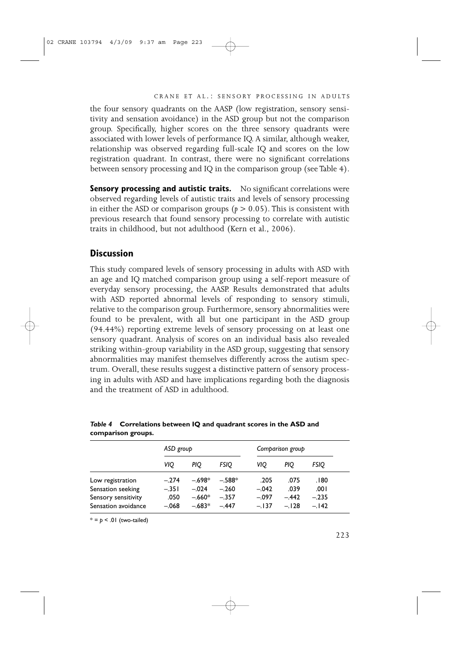the four sensory quadrants on the AASP (low registration, sensory sensitivity and sensation avoidance) in the ASD group but not the comparison group. Specifically, higher scores on the three sensory quadrants were associated with lower levels of performance IQ. A similar, although weaker, relationship was observed regarding full-scale IQ and scores on the low registration quadrant. In contrast, there were no significant correlations between sensory processing and IQ in the comparison group (see Table 4).

**Sensory processing and autistic traits.** No significant correlations were observed regarding levels of autistic traits and levels of sensory processing in either the ASD or comparison groups (*p* > 0.05). This is consistent with previous research that found sensory processing to correlate with autistic traits in childhood, but not adulthood (Kern et al., 2006).

## **Discussion**

This study compared levels of sensory processing in adults with ASD with an age and IQ matched comparison group using a self-report measure of everyday sensory processing, the AASP. Results demonstrated that adults with ASD reported abnormal levels of responding to sensory stimuli, relative to the comparison group. Furthermore, sensory abnormalities were found to be prevalent, with all but one participant in the ASD group (94.44%) reporting extreme levels of sensory processing on at least one sensory quadrant. Analysis of scores on an individual basis also revealed striking within-group variability in the ASD group, suggesting that sensory abnormalities may manifest themselves differently across the autism spectrum. Overall, these results suggest a distinctive pattern of sensory processing in adults with ASD and have implications regarding both the diagnosis and the treatment of ASD in adulthood.

|                     | ASD group |          |             |         | Comparison group |         |  |
|---------------------|-----------|----------|-------------|---------|------------------|---------|--|
|                     | VIO       | PIO.     | <i>FSIO</i> | VIO     | PIO.             | FSIO    |  |
| Low registration    | $-.274$   | $-.698*$ | $-.588*$    | .205    | .075             | .180    |  |
| Sensation seeking   | $-.351$   | $-.024$  | $-.260$     | $-.042$ | .039             | .001    |  |
| Sensory sensitivity | .050      | $-.660*$ | $-.357$     | $-.097$ | $-.442$          | $-.235$ |  |
| Sensation avoidance | $-.068$   | $-.683*$ | $-447$      | $-.137$ | $-.128$          | $-.142$ |  |

*Table 4* **Correlations between IQ and quadrant scores in the ASD and comparison groups.**

 $* = p < .01$  (two-tailed)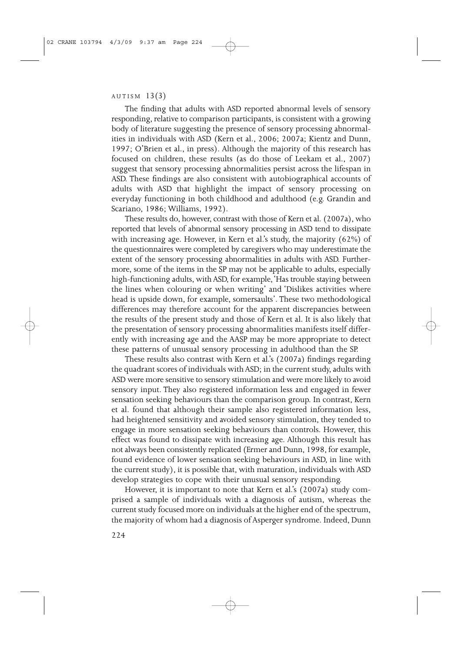The finding that adults with ASD reported abnormal levels of sensory responding, relative to comparison participants, is consistent with a growing body of literature suggesting the presence of sensory processing abnormalities in individuals with ASD (Kern et al., 2006; 2007a; Kientz and Dunn, 1997; O'Brien et al., in press). Although the majority of this research has focused on children, these results (as do those of Leekam et al., 2007) suggest that sensory processing abnormalities persist across the lifespan in ASD. These findings are also consistent with autobiographical accounts of adults with ASD that highlight the impact of sensory processing on everyday functioning in both childhood and adulthood (e.g. Grandin and Scariano, 1986; Williams, 1992).

These results do, however, contrast with those of Kern et al. (2007a), who reported that levels of abnormal sensory processing in ASD tend to dissipate with increasing age. However, in Kern et al.'s study, the majority (62%) of the questionnaires were completed by caregivers who may underestimate the extent of the sensory processing abnormalities in adults with ASD. Furthermore, some of the items in the SP may not be applicable to adults, especially high-functioning adults, with ASD, for example,'Has trouble staying between the lines when colouring or when writing' and 'Dislikes activities where head is upside down, for example, somersaults'. These two methodological differences may therefore account for the apparent discrepancies between the results of the present study and those of Kern et al. It is also likely that the presentation of sensory processing abnormalities manifests itself differently with increasing age and the AASP may be more appropriate to detect these patterns of unusual sensory processing in adulthood than the SP.

These results also contrast with Kern et al.'s (2007a) findings regarding the quadrant scores of individuals with ASD; in the current study, adults with ASD were more sensitive to sensory stimulation and were more likely to avoid sensory input. They also registered information less and engaged in fewer sensation seeking behaviours than the comparison group. In contrast, Kern et al. found that although their sample also registered information less, had heightened sensitivity and avoided sensory stimulation, they tended to engage in more sensation seeking behaviours than controls. However, this effect was found to dissipate with increasing age. Although this result has not always been consistently replicated (Ermer and Dunn, 1998, for example, found evidence of lower sensation seeking behaviours in ASD, in line with the current study), it is possible that, with maturation, individuals with ASD develop strategies to cope with their unusual sensory responding.

However, it is important to note that Kern et al.'s (2007a) study comprised a sample of individuals with a diagnosis of autism, whereas the current study focused more on individuals at the higher end of the spectrum, the majority of whom had a diagnosis of Asperger syndrome. Indeed, Dunn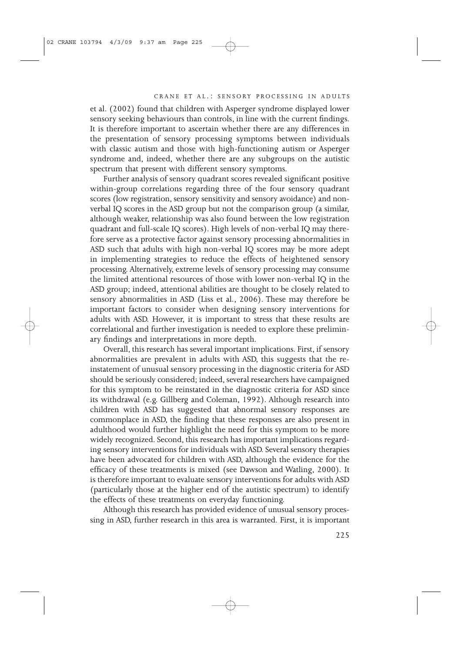et al. (2002) found that children with Asperger syndrome displayed lower sensory seeking behaviours than controls, in line with the current findings. It is therefore important to ascertain whether there are any differences in the presentation of sensory processing symptoms between individuals with classic autism and those with high-functioning autism or Asperger syndrome and, indeed, whether there are any subgroups on the autistic spectrum that present with different sensory symptoms.

Further analysis of sensory quadrant scores revealed significant positive within-group correlations regarding three of the four sensory quadrant scores (low registration, sensory sensitivity and sensory avoidance) and nonverbal IQ scores in the ASD group but not the comparison group (a similar, although weaker, relationship was also found between the low registration quadrant and full-scale IQ scores). High levels of non-verbal IQ may therefore serve as a protective factor against sensory processing abnormalities in ASD such that adults with high non-verbal IQ scores may be more adept in implementing strategies to reduce the effects of heightened sensory processing. Alternatively, extreme levels of sensory processing may consume the limited attentional resources of those with lower non-verbal IQ in the ASD group; indeed, attentional abilities are thought to be closely related to sensory abnormalities in ASD (Liss et al., 2006). These may therefore be important factors to consider when designing sensory interventions for adults with ASD. However, it is important to stress that these results are correlational and further investigation is needed to explore these preliminary findings and interpretations in more depth.

Overall, this research has several important implications. First, if sensory abnormalities are prevalent in adults with ASD, this suggests that the reinstatement of unusual sensory processing in the diagnostic criteria for ASD should be seriously considered; indeed, several researchers have campaigned for this symptom to be reinstated in the diagnostic criteria for ASD since its withdrawal (e.g. Gillberg and Coleman, 1992). Although research into children with ASD has suggested that abnormal sensory responses are commonplace in ASD, the finding that these responses are also present in adulthood would further highlight the need for this symptom to be more widely recognized. Second, this research has important implications regarding sensory interventions for individuals with ASD. Several sensory therapies have been advocated for children with ASD, although the evidence for the efficacy of these treatments is mixed (see Dawson and Watling, 2000). It is therefore important to evaluate sensory interventions for adults with ASD (particularly those at the higher end of the autistic spectrum) to identify the effects of these treatments on everyday functioning.

Although this research has provided evidence of unusual sensory processing in ASD, further research in this area is warranted. First, it is important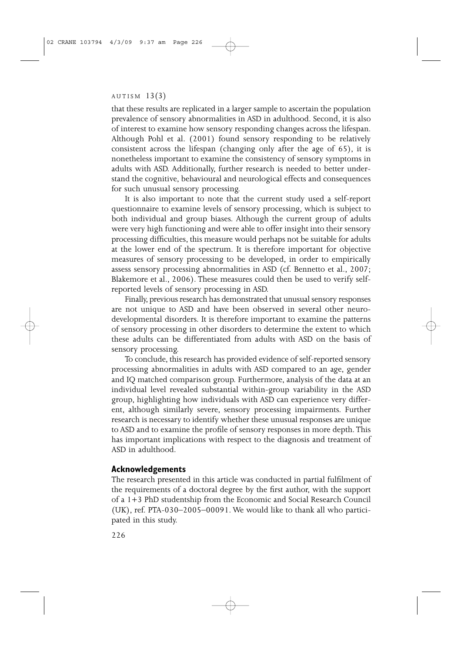that these results are replicated in a larger sample to ascertain the population prevalence of sensory abnormalities in ASD in adulthood. Second, it is also of interest to examine how sensory responding changes across the lifespan. Although Pohl et al. (2001) found sensory responding to be relatively consistent across the lifespan (changing only after the age of 65), it is nonetheless important to examine the consistency of sensory symptoms in adults with ASD. Additionally, further research is needed to better understand the cognitive, behavioural and neurological effects and consequences for such unusual sensory processing.

It is also important to note that the current study used a self-report questionnaire to examine levels of sensory processing, which is subject to both individual and group biases. Although the current group of adults were very high functioning and were able to offer insight into their sensory processing difficulties, this measure would perhaps not be suitable for adults at the lower end of the spectrum. It is therefore important for objective measures of sensory processing to be developed, in order to empirically assess sensory processing abnormalities in ASD (cf. Bennetto et al., 2007; Blakemore et al., 2006). These measures could then be used to verify selfreported levels of sensory processing in ASD.

Finally, previous research has demonstrated that unusual sensory responses are not unique to ASD and have been observed in several other neurodevelopmental disorders. It is therefore important to examine the patterns of sensory processing in other disorders to determine the extent to which these adults can be differentiated from adults with ASD on the basis of sensory processing.

To conclude, this research has provided evidence of self-reported sensory processing abnormalities in adults with ASD compared to an age, gender and IQ matched comparison group. Furthermore, analysis of the data at an individual level revealed substantial within-group variability in the ASD group, highlighting how individuals with ASD can experience very different, although similarly severe, sensory processing impairments. Further research is necessary to identify whether these unusual responses are unique to ASD and to examine the profile of sensory responses in more depth. This has important implications with respect to the diagnosis and treatment of ASD in adulthood.

#### **Acknowledgements**

The research presented in this article was conducted in partial fulfilment of the requirements of a doctoral degree by the first author, with the support of a 1+3 PhD studentship from the Economic and Social Research Council (UK), ref. PTA-030–2005–00091. We would like to thank all who participated in this study.

226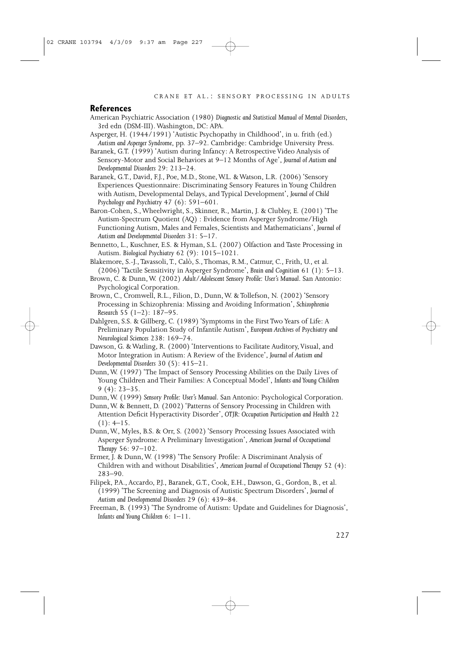#### **References**

- American Psychiatric Association (1980) *Diagnostic and Statistical Manual of Mental Disorders*, 3rd edn (DSM-III). Washington, DC: APA.
- Asperger, H. (1944/1991) 'Autistic Psychopathy in Childhood', in u. frith (ed.) *Autism and Asperger Syndrome*, pp. 37–92. Cambridge: Cambridge University Press.
- Baranek, G.T. (1999) 'Autism during Infancy: A Retrospective Video Analysis of Sensory-Motor and Social Behaviors at 9–12 Months of Age', *Journal of Autism and Developmental Disorders* 29: 213–24.
- Baranek, G.T., David, F.J., Poe, M.D., Stone, W.L. & Watson, L.R. (2006) 'Sensory Experiences Questionnaire: Discriminating Sensory Features in Young Children with Autism, Developmental Delays, and Typical Development', *Journal of Child Psychology and Psychiatry* 47 (6): 591–601.
- Baron-Cohen, S.,Wheelwright, S., Skinner, R., Martin, J. & Clubley, E. (2001) 'The Autism-Spectrum Quotient (AQ) : Evidence from Asperger Syndrome/High Functioning Autism, Males and Females, Scientists and Mathematicians', *Journal of Autism and Developmental Disorders* 31: 5–17.
- Bennetto, L., Kuschner, E.S. & Hyman, S.L. (2007) Olfaction and Taste Processing in Autism. *Biological Psychiatry* 62 (9): 1015–1021.
- Blakemore, S.-J., Tavassoli, T., Calò, S., Thomas, R.M., Catmur, C., Frith, U., et al. (2006) 'Tactile Sensitivity in Asperger Syndrome', *Brain and Cognition* 61 (1): 5–13.
- Brown, C. & Dunn,W. (2002) *Adult/Adolescent Sensory Profile: User's Manual*. San Antonio: Psychological Corporation.
- Brown, C., Cromwell, R.L., Filion, D., Dunn, W. & Tollefson, N. (2002) 'Sensory Processing in Schizophrenia: Missing and Avoiding Information', *Schizophrenia Research* 55 (1–2): 187–95.
- Dahlgren, S.S. & Gillberg, C. (1989) 'Symptoms in the First Two Years of Life: A Preliminary Population Study of Infantile Autism', *European Archives of Psychiatry and Neurological Sciences* 238: 169–74.
- Dawson, G. & Watling, R. (2000) 'Interventions to Facilitate Auditory, Visual, and Motor Integration in Autism: A Review of the Evidence', *Journal of Autism and Developmental Disorders* 30 (5): 415–21.
- Dunn,W. (1997) 'The Impact of Sensory Processing Abilities on the Daily Lives of Young Children and Their Families: A Conceptual Model', *Infants and Young Children* 9 (4): 23–35.

Dunn,W. (1999) *Sensory Profile: User's Manual*. San Antonio: Psychological Corporation.

- Dunn,W. & Bennett, D. (2002) 'Patterns of Sensory Processing in Children with Attention Deficit Hyperactivity Disorder', *OTJR: Occupation Participation and Health* 22  $(1): 4-15.$
- Dunn,W., Myles, B.S. & Orr, S. (2002) 'Sensory Processing Issues Associated with Asperger Syndrome: A Preliminary Investigation', *American Journal of Occupational Therapy* 56: 97–102.
- Ermer, J. & Dunn, W. (1998) 'The Sensory Profile: A Discriminant Analysis of Children with and without Disabilities', *American Journal of Occupational Therapy* 52 (4): 283–90.
- Filipek, P.A., Accardo, P.J., Baranek, G.T., Cook, E.H., Dawson, G., Gordon, B., et al. (1999) 'The Screening and Diagnosis of Autistic Spectrum Disorders', *Journal of Autism and Developmental Disorders* 29 (6): 439–84.
- Freeman, B. (1993) 'The Syndrome of Autism: Update and Guidelines for Diagnosis', *Infants and Young Children* 6: 1–11.